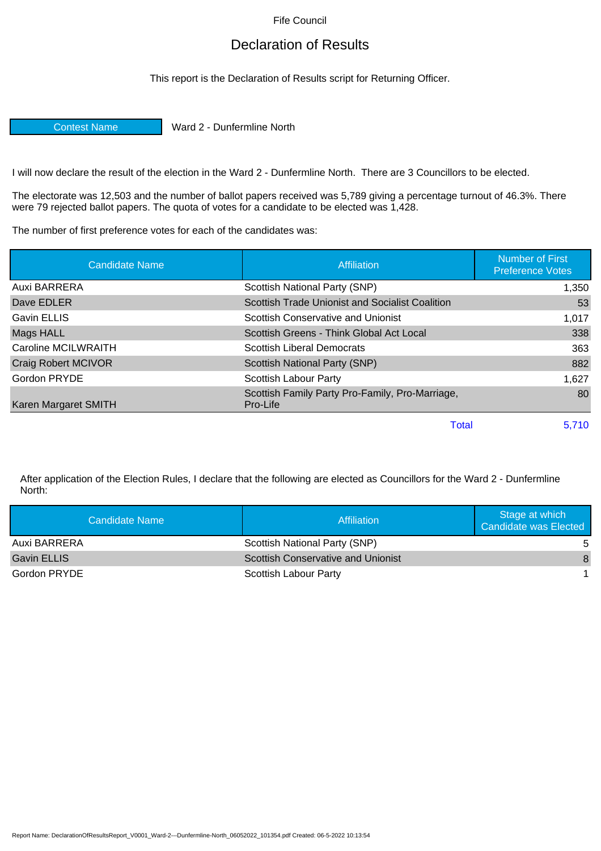Fife Council

## Declaration of Results

This report is the Declaration of Results script for Returning Officer.

Contest Name Ward 2 - Dunfermline North

I will now declare the result of the election in the Ward 2 - Dunfermline North. There are 3 Councillors to be elected.

The electorate was 12,503 and the number of ballot papers received was 5,789 giving a percentage turnout of 46.3%. There were 79 rejected ballot papers. The quota of votes for a candidate to be elected was 1,428.

The number of first preference votes for each of the candidates was:

| <b>Candidate Name</b>      | Affiliation                                                 | <b>Number of First</b><br><b>Preference Votes</b> |
|----------------------------|-------------------------------------------------------------|---------------------------------------------------|
| Auxi BARRERA               | Scottish National Party (SNP)                               | 1,350                                             |
| Dave EDLER                 | Scottish Trade Unionist and Socialist Coalition             | 53                                                |
| Gavin ELLIS                | Scottish Conservative and Unionist                          | 1,017                                             |
| Mags HALL                  | Scottish Greens - Think Global Act Local                    | 338                                               |
| Caroline MCILWRAITH        | <b>Scottish Liberal Democrats</b>                           | 363                                               |
| <b>Craig Robert MCIVOR</b> | <b>Scottish National Party (SNP)</b>                        | 882                                               |
| Gordon PRYDE               | <b>Scottish Labour Party</b>                                | 1,627                                             |
| Karen Margaret SMITH       | Scottish Family Party Pro-Family, Pro-Marriage,<br>Pro-Life | 80                                                |
|                            | Total                                                       | 5.710                                             |

After application of the Election Rules, I declare that the following are elected as Councillors for the Ward 2 - Dunfermline North:

| Candidate Name     | <b>Affiliation</b>                        | Stage at which<br><b>Candidate was Elected</b> |
|--------------------|-------------------------------------------|------------------------------------------------|
| Auxi BARRERA       | Scottish National Party (SNP)             | -5                                             |
| <b>Gavin ELLIS</b> | <b>Scottish Conservative and Unionist</b> | 8                                              |
| Gordon PRYDE       | Scottish Labour Party                     |                                                |